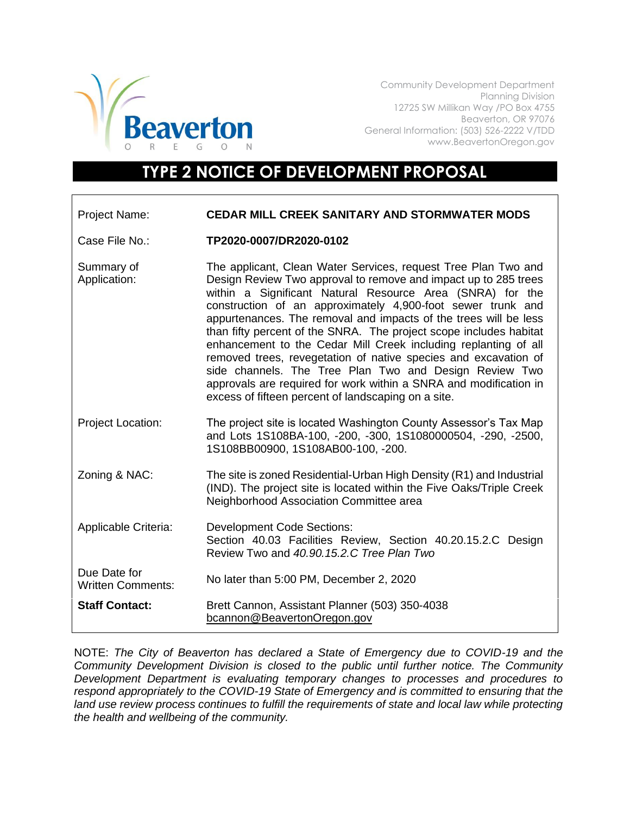

Community Development Department Planning Division 12725 SW Millikan Way /PO Box 4755 Beaverton, OR 97076 General Information: (503) 526-2222 V/TDD www.BeavertonOregon.gov

## **TYPE 2 NOTICE OF DEVELOPMENT PROPOSAL**

| <b>Project Name:</b>                     | <b>CEDAR MILL CREEK SANITARY AND STORMWATER MODS</b>                                                                                                                                                                                                                                                                                                                                                                                                                                                                                                                                                                                                                                                                                |
|------------------------------------------|-------------------------------------------------------------------------------------------------------------------------------------------------------------------------------------------------------------------------------------------------------------------------------------------------------------------------------------------------------------------------------------------------------------------------------------------------------------------------------------------------------------------------------------------------------------------------------------------------------------------------------------------------------------------------------------------------------------------------------------|
| Case File No.:                           | TP2020-0007/DR2020-0102                                                                                                                                                                                                                                                                                                                                                                                                                                                                                                                                                                                                                                                                                                             |
| Summary of<br>Application:               | The applicant, Clean Water Services, request Tree Plan Two and<br>Design Review Two approval to remove and impact up to 285 trees<br>within a Significant Natural Resource Area (SNRA) for the<br>construction of an approximately 4,900-foot sewer trunk and<br>appurtenances. The removal and impacts of the trees will be less<br>than fifty percent of the SNRA. The project scope includes habitat<br>enhancement to the Cedar Mill Creek including replanting of all<br>removed trees, revegetation of native species and excavation of<br>side channels. The Tree Plan Two and Design Review Two<br>approvals are required for work within a SNRA and modification in<br>excess of fifteen percent of landscaping on a site. |
| Project Location:                        | The project site is located Washington County Assessor's Tax Map<br>and Lots 1S108BA-100, -200, -300, 1S1080000504, -290, -2500,<br>1S108BB00900, 1S108AB00-100, -200.                                                                                                                                                                                                                                                                                                                                                                                                                                                                                                                                                              |
| Zoning & NAC:                            | The site is zoned Residential-Urban High Density (R1) and Industrial<br>(IND). The project site is located within the Five Oaks/Triple Creek<br>Neighborhood Association Committee area                                                                                                                                                                                                                                                                                                                                                                                                                                                                                                                                             |
| Applicable Criteria:                     | <b>Development Code Sections:</b><br>Section 40.03 Facilities Review, Section 40.20.15.2.C Design<br>Review Two and 40.90, 15.2.C Tree Plan Two                                                                                                                                                                                                                                                                                                                                                                                                                                                                                                                                                                                     |
| Due Date for<br><b>Written Comments:</b> | No later than 5:00 PM, December 2, 2020                                                                                                                                                                                                                                                                                                                                                                                                                                                                                                                                                                                                                                                                                             |
| <b>Staff Contact:</b>                    | Brett Cannon, Assistant Planner (503) 350-4038<br>bcannon@BeavertonOregon.gov                                                                                                                                                                                                                                                                                                                                                                                                                                                                                                                                                                                                                                                       |

NOTE: *The City of Beaverton has declared a State of Emergency due to COVID-19 and the Community Development Division is closed to the public until further notice. The Community Development Department is evaluating temporary changes to processes and procedures to respond appropriately to the COVID-19 State of Emergency and is committed to ensuring that the*  land use review process continues to fulfill the requirements of state and local law while protecting *the health and wellbeing of the community.*